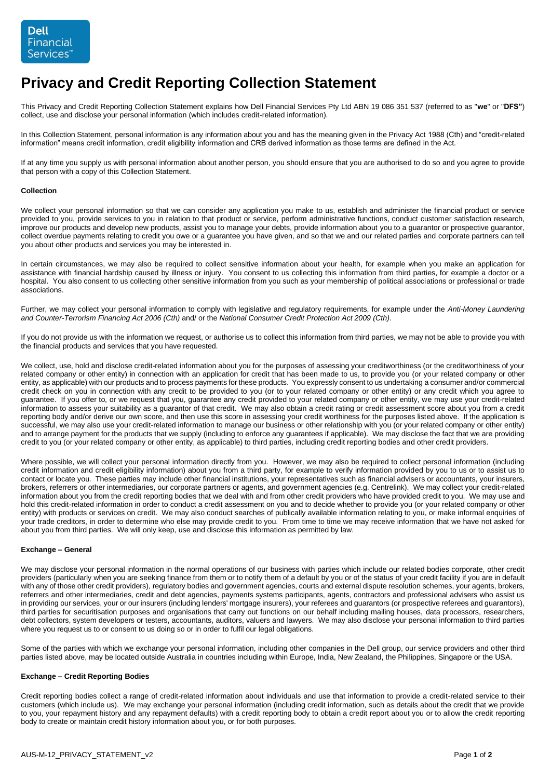# **Privacy and Credit Reporting Collection Statement**

This Privacy and Credit Reporting Collection Statement explains how Dell Financial Services Pty Ltd ABN 19 086 351 537 (referred to as "**we**" or "**DFS"**) collect, use and disclose your personal information (which includes credit-related information).

In this Collection Statement, personal information is any information about you and has the meaning given in the Privacy Act 1988 (Cth) and "credit-related information" means credit information, credit eligibility information and CRB derived information as those terms are defined in the Act.

If at any time you supply us with personal information about another person, you should ensure that you are authorised to do so and you agree to provide that person with a copy of this Collection Statement.

# **Collection**

We collect your personal information so that we can consider any application you make to us, establish and administer the financial product or service provided to you, provide services to you in relation to that product or service, perform administrative functions, conduct customer satisfaction research, improve our products and develop new products, assist you to manage your debts, provide information about you to a guarantor or prospective guarantor, collect overdue payments relating to credit you owe or a guarantee you have given, and so that we and our related parties and corporate partners can tell you about other products and services you may be interested in.

In certain circumstances, we may also be required to collect sensitive information about your health, for example when you make an application for assistance with financial hardship caused by illness or injury. You consent to us collecting this information from third parties, for example a doctor or a hospital. You also consent to us collecting other sensitive information from you such as your membership of political associations or professional or trade associations.

Further, we may collect your personal information to comply with legislative and regulatory requirements, for example under the *Anti-Money Laundering and Counter-Terrorism Financing Act 2006 (Cth)* and/ or the *National Consumer Credit Protection Act 2009 (Cth)*.

If you do not provide us with the information we request, or authorise us to collect this information from third parties, we may not be able to provide you with the financial products and services that you have requested.

We collect, use, hold and disclose credit-related information about you for the purposes of assessing your creditworthiness (or the creditworthiness of your related company or other entity) in connection with an application for credit that has been made to us, to provide you (or your related company or other entity, as applicable) with our products and to process payments for these products. You expressly consent to us undertaking a consumer and/or commercial credit check on you in connection with any credit to be provided to you (or to your related company or other entity) or any credit which you agree to guarantee. If you offer to, or we request that you, guarantee any credit provided to your related company or other entity, we may use your credit-related information to assess your suitability as a guarantor of that credit. We may also obtain a credit rating or credit assessment score about you from a credit reporting body and/or derive our own score, and then use this score in assessing your credit worthiness for the purposes listed above. If the application is successful, we may also use your credit-related information to manage our business or other relationship with you (or your related company or other entity) and to arrange payment for the products that we supply (including to enforce any guarantees if applicable). We may disclose the fact that we are providing credit to you (or your related company or other entity, as applicable) to third parties, including credit reporting bodies and other credit providers.

Where possible, we will collect your personal information directly from you. However, we may also be required to collect personal information (including credit information and credit eligibility information) about you from a third party, for example to verify information provided by you to us or to assist us to contact or locate you. These parties may include other financial institutions, your representatives such as financial advisers or accountants, your insurers, brokers, referrers or other intermediaries, our corporate partners or agents, and government agencies (e.g. Centrelink). We may collect your credit-related information about you from the credit reporting bodies that we deal with and from other credit providers who have provided credit to you. We may use and hold this credit-related information in order to conduct a credit assessment on you and to decide whether to provide you (or your related company or other entity) with products or services on credit. We may also conduct searches of publically available information relating to you, or make informal enquiries of your trade creditors, in order to determine who else may provide credit to you. From time to time we may receive information that we have not asked for about you from third parties. We will only keep, use and disclose this information as permitted by law.

# **Exchange – General**

We may disclose your personal information in the normal operations of our business with parties which include our related bodies corporate, other credit providers (particularly when you are seeking finance from them or to notify them of a default by you or of the status of your credit facility if you are in default with any of those other credit providers), regulatory bodies and government agencies, courts and external dispute resolution schemes, your agents, brokers, referrers and other intermediaries, credit and debt agencies, payments systems participants, agents, contractors and professional advisers who assist us in providing our services, your or our insurers (including lenders' mortgage insurers), your referees and guarantors (or prospective referees and guarantors), third parties for securitisation purposes and organisations that carry out functions on our behalf including mailing houses, data processors, researchers, debt collectors, system developers or testers, accountants, auditors, valuers and lawyers. We may also disclose your personal information to third parties where you request us to or consent to us doing so or in order to fulfil our legal obligations.

Some of the parties with which we exchange your personal information, including other companies in the Dell group, our service providers and other third parties listed above, may be located outside Australia in countries including within Europe, India, New Zealand, the Philippines, Singapore or the USA.

# **Exchange – Credit Reporting Bodies**

Credit reporting bodies collect a range of credit-related information about individuals and use that information to provide a credit-related service to their customers (which include us). We may exchange your personal information (including credit information, such as details about the credit that we provide to you, your repayment history and any repayment defaults) with a credit reporting body to obtain a credit report about you or to allow the credit reporting body to create or maintain credit history information about you, or for both purposes.